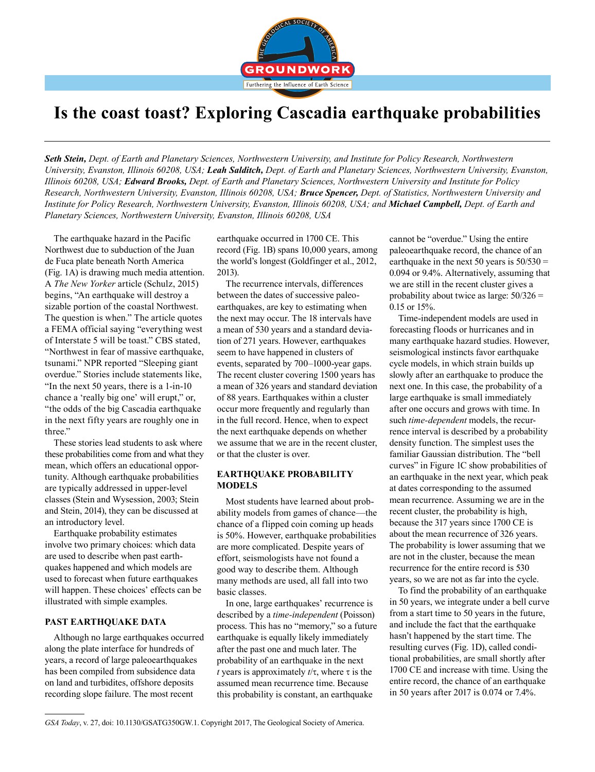

# **Is the coast toast? Exploring Cascadia earthquake probabilities**

*Seth Stein, Dept. of Earth and Planetary Sciences, Northwestern University, and Institute for Policy Research, Northwestern University, Evanston, Illinois 60208, USA; Leah Salditch, Dept. of Earth and Planetary Sciences, Northwestern University, Evanston, Illinois 60208, USA; Edward Brooks, Dept. of Earth and Planetary Sciences, Northwestern University and Institute for Policy Research, Northwestern University, Evanston, Illinois 60208, USA; Bruce Spencer, Dept. of Statistics, Northwestern University and Institute for Policy Research, Northwestern University, Evanston, Illinois 60208, USA; and Michael Campbell, Dept. of Earth and Planetary Sciences, Northwestern University, Evanston, Illinois 60208, USA*

The earthquake hazard in the Pacific Northwest due to subduction of the Juan de Fuca plate beneath North America (Fig. 1A) is drawing much media attention. A *The New Yorker* article (Schulz, 2015) begins, "An earthquake will destroy a sizable portion of the coastal Northwest. The question is when." The article quotes a FEMA official saying "everything west of Interstate 5 will be toast." CBS stated, "Northwest in fear of massive earthquake, tsunami." NPR reported "Sleeping giant overdue." Stories include statements like, "In the next 50 years, there is a 1-in-10 chance a 'really big one' will erupt," or, "the odds of the big Cascadia earthquake in the next fifty years are roughly one in three."

These stories lead students to ask where these probabilities come from and what they mean, which offers an educational opportunity. Although earthquake probabilities are typically addressed in upper-level classes (Stein and Wysession, 2003; Stein and Stein, 2014), they can be discussed at an introductory level.

Earthquake probability estimates involve two primary choices: which data are used to describe when past earthquakes happened and which models are used to forecast when future earthquakes will happen. These choices' effects can be illustrated with simple examples.

### **PAST EARTHQUAKE DATA**

Although no large earthquakes occurred along the plate interface for hundreds of years, a record of large paleoearthquakes has been compiled from subsidence data on land and turbidites, offshore deposits recording slope failure. The most recent

earthquake occurred in 1700 CE. This record (Fig. 1B) spans 10,000 years, among the world's longest (Goldfinger et al., 2012, 2013).

The recurrence intervals, differences between the dates of successive paleoearthquakes, are key to estimating when the next may occur. The 18 intervals have a mean of 530 years and a standard deviation of 271 years. However, earthquakes seem to have happened in clusters of events, separated by 700–1000-year gaps. The recent cluster covering 1500 years has a mean of 326 years and standard deviation of 88 years. Earthquakes within a cluster occur more frequently and regularly than in the full record. Hence, when to expect the next earthquake depends on whether we assume that we are in the recent cluster, or that the cluster is over.

# **EARTHQUAKE PROBABILITY MODELS**

Most students have learned about probability models from games of chance—the chance of a flipped coin coming up heads is 50%. However, earthquake probabilities are more complicated. Despite years of effort, seismologists have not found a good way to describe them. Although many methods are used, all fall into two basic classes.

In one, large earthquakes' recurrence is described by a *time-independent* (Poisson) process. This has no "memory," so a future earthquake is equally likely immediately after the past one and much later. The probability of an earthquake in the next *t* years is approximately *t*/τ, where τ is the assumed mean recurrence time. Because this probability is constant, an earthquake

cannot be "overdue." Using the entire paleoearthquake record, the chance of an earthquake in the next 50 years is  $50/530 =$ 0.094 or 9.4%. Alternatively, assuming that we are still in the recent cluster gives a probability about twice as large: 50/326 = 0.15 or 15%.

Time-independent models are used in forecasting floods or hurricanes and in many earthquake hazard studies. However, seismological instincts favor earthquake cycle models, in which strain builds up slowly after an earthquake to produce the next one. In this case, the probability of a large earthquake is small immediately after one occurs and grows with time. In such *time-dependent* models, the recurrence interval is described by a probability density function. The simplest uses the familiar Gaussian distribution. The "bell curves" in Figure 1C show probabilities of an earthquake in the next year, which peak at dates corresponding to the assumed mean recurrence. Assuming we are in the recent cluster, the probability is high, because the 317 years since 1700 CE is about the mean recurrence of 326 years. The probability is lower assuming that we are not in the cluster, because the mean recurrence for the entire record is 530 years, so we are not as far into the cycle.

To find the probability of an earthquake in 50 years, we integrate under a bell curve from a start time to 50 years in the future, and include the fact that the earthquake hasn't happened by the start time. The resulting curves (Fig. 1D), called conditional probabilities, are small shortly after 1700 CE and increase with time. Using the entire record, the chance of an earthquake in 50 years after 2017 is 0.074 or 7.4%.

*GSA Today*, v. 27, doi: 10.1130/GSATG350GW.1. Copyright 2017, The Geological Society of America.